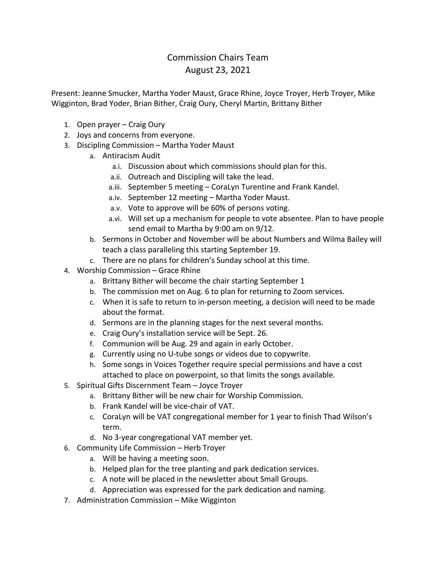## Commission Chairs Team August 23, 2021

Present: Jeanne Smucker, Martha Yoder Maust, Grace Rhine, Joyce Troyer, Herb Troyer, Mike Wigginton, Brad Yoder, Brian Bither, Craig Oury, Cheryl Martin, Brittany Bither

- 1. Open prayer Craig Oury
- 2. Joys and concerns from everyone.
- 3. Discipling Commission Martha Yoder Maust
	- a. Antiracism Audit
		- a.i. Discussion about which commissions should plan for this.
		- a.ii. Outreach and Discipling will take the lead.
		- a.iii. September 5 meeting CoraLyn Turentine and Frank Kandel.
		- a.iv. September 12 meeting Martha Yoder Maust.
		- a.v. Vote to approve will be 60% of persons voting.
		- a.vi. Will set up a mechanism for people to vote absentee. Plan to have people send email to Martha by 9:00 am on 9/12.
	- b. Sermons in October and November will be about Numbers and Wilma Bailey will teach a class paralleling this starting September 19.
	- c. There are no plans for children's Sunday school at this time.
- 4. Worship Commission Grace Rhine
	- a. Brittany Bither will become the chair starting September 1
	- b. The commission met on Aug. 6 to plan for returning to Zoom services.
	- c. When it is safe to return to in-person meeting, a decision will need to be made about the format.
	- d. Sermons are in the planning stages for the next several months.
	- e. Craig Oury's installation service will be Sept. 26.
	- f. Communion will be Aug. 29 and again in early October.
	- g. Currently using no U-tube songs or videos due to copywrite.
	- h. Some songs in Voices Together require special permissions and have a cost attached to place on powerpoint, so that limits the songs available.
- 5. Spiritual Gifts Discernment Team Joyce Troyer
	- a. Brittany Bither will be new chair for Worship Commission.
	- b. Frank Kandel will be vice-chair of VAT.
	- c. CoraLyn will be VAT congregational member for 1 year to finish Thad Wilson's term.
	- d. No 3-year congregational VAT member yet.
- 6. Community Life Commission Herb Troyer
	- a. Will be having a meeting soon.
	- b. Helped plan for the tree planting and park dedication services.
	- c. A note will be placed in the newsletter about Small Groups.
	- d. Appreciation was expressed for the park dedication and naming.
- 7. Administration Commission Mike Wigginton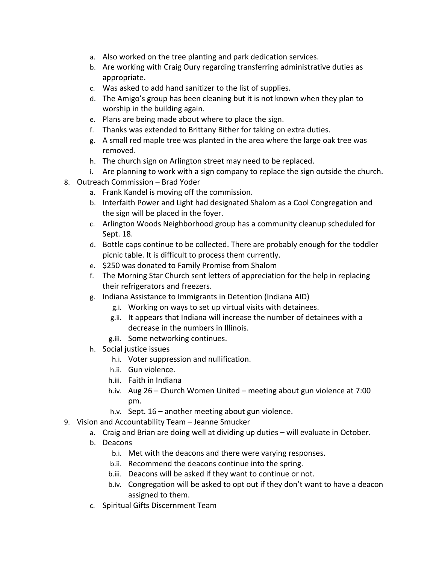- a. Also worked on the tree planting and park dedication services.
- b. Are working with Craig Oury regarding transferring administrative duties as appropriate.
- c. Was asked to add hand sanitizer to the list of supplies.
- d. The Amigo's group has been cleaning but it is not known when they plan to worship in the building again.
- e. Plans are being made about where to place the sign.
- f. Thanks was extended to Brittany Bither for taking on extra duties.
- g. A small red maple tree was planted in the area where the large oak tree was removed.
- h. The church sign on Arlington street may need to be replaced.
- i. Are planning to work with a sign company to replace the sign outside the church.
- 8. Outreach Commission Brad Yoder
	- a. Frank Kandel is moving off the commission.
	- b. Interfaith Power and Light had designated Shalom as a Cool Congregation and the sign will be placed in the foyer.
	- c. Arlington Woods Neighborhood group has a community cleanup scheduled for Sept. 18.
	- d. Bottle caps continue to be collected. There are probably enough for the toddler picnic table. It is difficult to process them currently.
	- e. \$250 was donated to Family Promise from Shalom
	- f. The Morning Star Church sent letters of appreciation for the help in replacing their refrigerators and freezers.
	- g. Indiana Assistance to Immigrants in Detention (Indiana AID)
		- g.i. Working on ways to set up virtual visits with detainees.
		- g.ii. It appears that Indiana will increase the number of detainees with a decrease in the numbers in Illinois.
		- g.iii. Some networking continues.
	- h. Social justice issues
		- h.i. Voter suppression and nullification.
		- h.ii. Gun violence.
		- h.iii. Faith in Indiana
		- h.iv. Aug 26 Church Women United meeting about gun violence at 7:00 pm.
		- h.v. Sept. 16 another meeting about gun violence.
- 9. Vision and Accountability Team Jeanne Smucker
	- a. Craig and Brian are doing well at dividing up duties will evaluate in October.
	- b. Deacons
		- b.i. Met with the deacons and there were varying responses.
		- b.ii. Recommend the deacons continue into the spring.
		- b.iii. Deacons will be asked if they want to continue or not.
		- b.iv. Congregation will be asked to opt out if they don't want to have a deacon assigned to them.
	- c. Spiritual Gifts Discernment Team